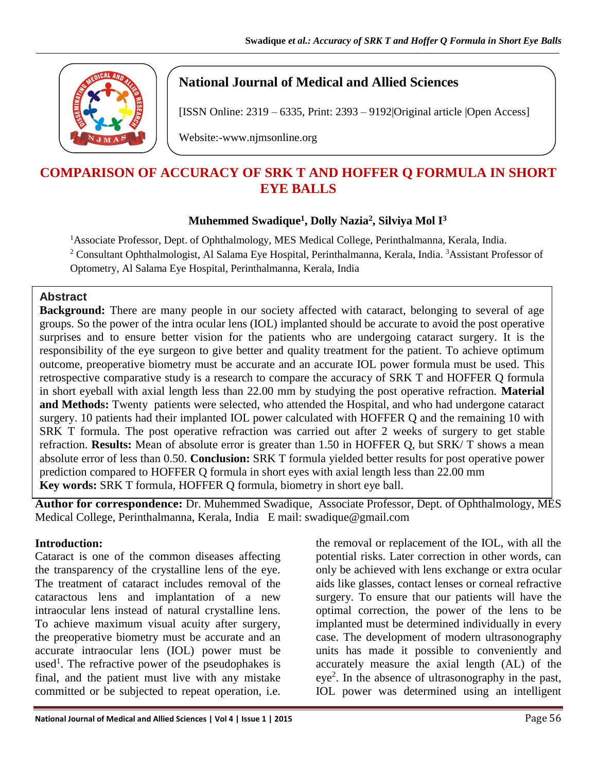

# **National Journal of Medical and Allied Sciences**

[ISSN Online: 2319 – 6335, Print: 2393 – 9192|Original article |Open Access]

Website:-www.njmsonline.org

# **COMPARISON OF ACCURACY OF SRK T AND HOFFER Q FORMULA IN SHORT EYE BALLS**

## **Muhemmed Swadique<sup>1</sup> , Dolly Nazia<sup>2</sup> , Silviya Mol I<sup>3</sup>**

<sup>1</sup> Associate Professor, Dept. of Ophthalmology, MES Medical College, Perinthalmanna, Kerala, India.

<sup>2</sup> Consultant Ophthalmologist, Al Salama Eye Hospital, Perinthalmanna, Kerala, India. <sup>3</sup>Assistant Professor of Optometry, Al Salama Eye Hospital, Perinthalmanna, Kerala, India

#### **Abstract**

**Background:** There are many people in our society affected with cataract, belonging to several of age groups. So the power of the intra ocular lens (IOL) implanted should be accurate to avoid the post operative surprises and to ensure better vision for the patients who are undergoing cataract surgery. It is the responsibility of the eye surgeon to give better and quality treatment for the patient. To achieve optimum outcome, preoperative biometry must be accurate and an accurate IOL power formula must be used. This retrospective comparative study is a research to compare the accuracy of SRK T and HOFFER Q formula in short eyeball with axial length less than 22.00 mm by studying the post operative refraction. **Material and Methods:** Twenty patients were selected, who attended the Hospital, and who had undergone cataract surgery. 10 patients had their implanted IOL power calculated with HOFFER Q and the remaining 10 with SRK T formula. The post operative refraction was carried out after 2 weeks of surgery to get stable refraction. **Results:** Mean of absolute error is greater than 1.50 in HOFFER Q, but SRK/ T shows a mean absolute error of less than 0.50. **Conclusion:** SRK T formula yielded better results for post operative power prediction compared to HOFFER Q formula in short eyes with axial length less than 22.00 mm **Key words:** SRK T formula, HOFFER Q formula, biometry in short eye ball.

**Author for correspondence:** Dr. Muhemmed Swadique, Associate Professor, Dept. of Ophthalmology, MES Medical College, Perinthalmanna, Kerala, India E mail: swadique@gmail.com

#### **Introduction:**

Cataract is one of the common diseases affecting the transparency of the crystalline lens of the eye. The treatment of cataract includes removal of the cataractous lens and implantation of a new intraocular lens instead of natural crystalline lens. To achieve maximum visual acuity after surgery, the preoperative biometry must be accurate and an accurate intraocular lens (IOL) power must be used<sup>1</sup>. The refractive power of the pseudophakes is final, and the patient must live with any mistake committed or be subjected to repeat operation, i.e.

the removal or replacement of the IOL, with all the potential risks. Later correction in other words, can only be achieved with lens exchange or extra ocular aids like glasses, contact lenses or corneal refractive surgery. To ensure that our patients will have the optimal correction, the power of the lens to be implanted must be determined individually in every case. The development of modern ultrasonography units has made it possible to conveniently and accurately measure the axial length (AL) of the eye<sup>2</sup>. In the absence of ultrasonography in the past, IOL power was determined using an intelligent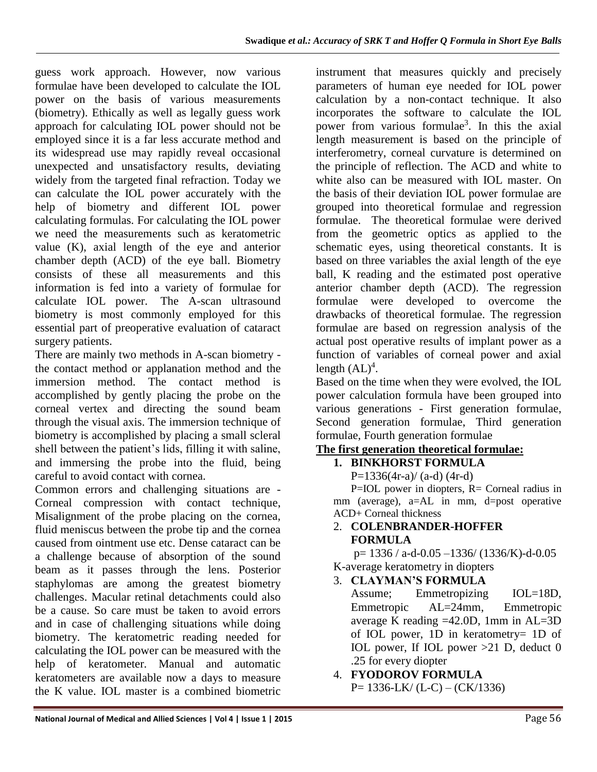guess work approach. However, now various formulae have been developed to calculate the IOL power on the basis of various measurements (biometry). Ethically as well as legally guess work approach for calculating IOL power should not be employed since it is a far less accurate method and its widespread use may rapidly reveal occasional unexpected and unsatisfactory results, deviating widely from the targeted final refraction. Today we can calculate the IOL power accurately with the help of biometry and different IOL power calculating formulas. For calculating the IOL power we need the measurements such as keratometric value (K), axial length of the eye and anterior chamber depth (ACD) of the eye ball. Biometry consists of these all measurements and this information is fed into a variety of formulae for calculate IOL power. The A-scan ultrasound biometry is most commonly employed for this essential part of preoperative evaluation of cataract surgery patients.

There are mainly two methods in A-scan biometry the contact method or applanation method and the immersion method. The contact method is accomplished by gently placing the probe on the corneal vertex and directing the sound beam through the visual axis. The immersion technique of biometry is accomplished by placing a small scleral shell between the patient's lids, filling it with saline, and immersing the probe into the fluid, being careful to avoid contact with cornea.

Common errors and challenging situations are - Corneal compression with contact technique, Misalignment of the probe placing on the cornea, fluid meniscus between the probe tip and the cornea caused from ointment use etc. Dense cataract can be a challenge because of absorption of the sound beam as it passes through the lens. Posterior staphylomas are among the greatest biometry challenges. Macular retinal detachments could also be a cause. So care must be taken to avoid errors and in case of challenging situations while doing biometry. The keratometric reading needed for calculating the IOL power can be measured with the help of keratometer. Manual and automatic keratometers are available now a days to measure the K value. IOL master is a combined biometric

instrument that measures quickly and precisely parameters of human eye needed for IOL power calculation by a non-contact technique. It also incorporates the software to calculate the IOL power from various formulae<sup>3</sup>. In this the axial length measurement is based on the principle of interferometry, corneal curvature is determined on the principle of reflection. The ACD and white to white also can be measured with IOL master. On the basis of their deviation IOL power formulae are grouped into theoretical formulae and regression formulae. The theoretical formulae were derived from the geometric optics as applied to the schematic eyes, using theoretical constants. It is based on three variables the axial length of the eye ball, K reading and the estimated post operative anterior chamber depth (ACD). The regression formulae were developed to overcome the drawbacks of theoretical formulae. The regression formulae are based on regression analysis of the actual post operative results of implant power as a function of variables of corneal power and axial length  $(AL)^4$ .

Based on the time when they were evolved, the IOL power calculation formula have been grouped into various generations - First generation formulae, Second generation formulae, Third generation formulae, Fourth generation formulae

# **The first generation theoretical formulae:**

# **1. BINKHORST FORMULA**

 $P=1336(4r-a)/(a-d)(4r-d)$ 

P=IOL power in diopters, R= Corneal radius in mm (average), a=AL in mm, d=post operative ACD+ Corneal thickness

#### 2. **COLENBRANDER-HOFFER FORMULA**

 p= 1336 / a-d-0.05 –1336/ (1336/K)-d-0.05 K-average keratometry in diopters

# 3. **CLAYMAN'S FORMULA**

Assume; Emmetropizing IOL=18D, Emmetropic AL=24mm, Emmetropic average K reading =42.0D, 1mm in AL=3D of IOL power, 1D in keratometry= 1D of IOL power, If IOL power >21 D, deduct 0 .25 for every diopter

4. **FYODOROV FORMULA**

 $P= 1336-LK/(L-C) - (CK/1336)$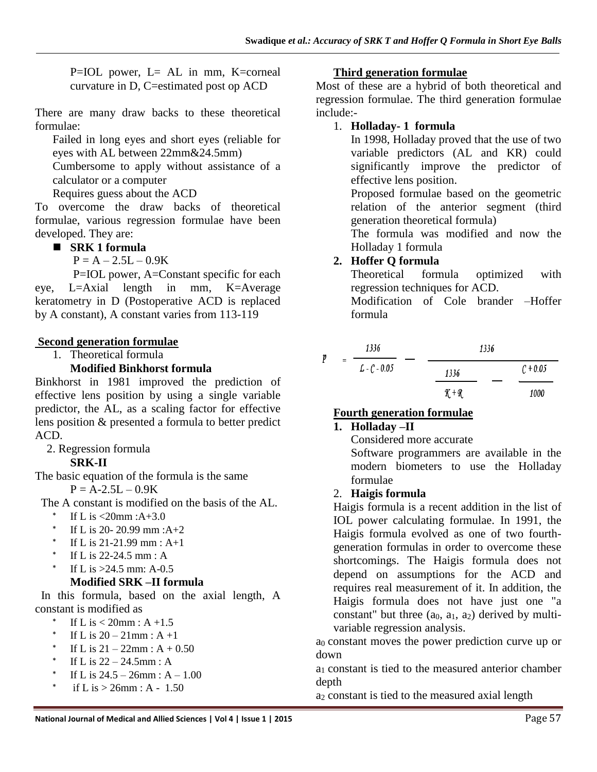P=IOL power, L= AL in mm, K=corneal curvature in D, C=estimated post op ACD

There are many draw backs to these theoretical formulae:

Failed in long eyes and short eyes (reliable for eyes with AL between 22mm&24.5mm)

Cumbersome to apply without assistance of a calculator or a computer

Requires guess about the ACD

To overcome the draw backs of theoretical formulae, various regression formulae have been developed. They are:

#### **SRK 1 formula**

 $P = A - 2.5L - 0.9K$ 

 P=IOL power, A=Constant specific for each eye, L=Axial length in mm, K=Average keratometry in D (Postoperative ACD is replaced by A constant), A constant varies from 113-119

#### **Second generation formulae**

1. Theoretical formula

 **Modified Binkhorst formula**

Binkhorst in 1981 improved the prediction of effective lens position by using a single variable predictor, the AL, as a scaling factor for effective lens position & presented a formula to better predict ACD.

2. Regression formula

#### **SRK-II**

The basic equation of the formula is the same

 $P = A - 2.5L - 0.9K$ 

The A constant is modified on the basis of the AL.

- If L is  $< 20$ mm :A+3.0
- If L is 20- 20.99 mm : $A+2$
- If L is 21-21.99 mm :  $A+1$
- If L is  $22-24.5$  mm : A
- If L is  $>24.5$  mm: A-0.5 **Modified SRK –II formula**

 In this formula, based on the axial length, A constant is modified as

- If L is  $<$  20mm : A +1.5
- If L is  $20 21$ mm : A +1
- If L is  $21 22$ mm : A + 0.50
- If L is  $22 24.5$ mm : A
- If L is  $24.5 26$ mm : A  $1.00$
- if L is  $> 26$ mm : A 1.50

#### **Third generation formulae**

Most of these are a hybrid of both theoretical and regression formulae. The third generation formulae include:-

#### 1. **Holladay- 1 formula**

In 1998, Holladay proved that the use of two variable predictors (AL and KR) could significantly improve the predictor of effective lens position.

Proposed formulae based on the geometric relation of the anterior segment (third generation theoretical formula)

The formula was modified and now the Holladay 1 formula

## **2. Hoffer Q formula**

Theoretical formula optimized with regression techniques for ACD.

Modification of Cole brander –Hoffer formula

$$
P = \frac{1336}{L - C - 0.05} \longrightarrow \frac{1336}{\frac{1336}{K + R}} \longrightarrow \frac{C + 0.05}{1000}
$$

# **Fourth generation formulae**

#### **1. Holladay –II**

Considered more accurate

Software programmers are available in the modern biometers to use the Holladay formulae

#### 2. **Haigis formula**

Haigis formula is a recent addition in the list of IOL power calculating formulae. In 1991, the Haigis formula evolved as one of two fourthgeneration formulas in order to overcome these shortcomings. The Haigis formula does not depend on assumptions for the ACD and requires real measurement of it. In addition, the Haigis formula does not have just one "a constant" but three  $(a_0, a_1, a_2)$  derived by multivariable regression analysis.

a<sup>0</sup> constant moves the power prediction curve up or down

a<sup>1</sup> constant is tied to the measured anterior chamber depth

a<sup>2</sup> constant is tied to the measured axial length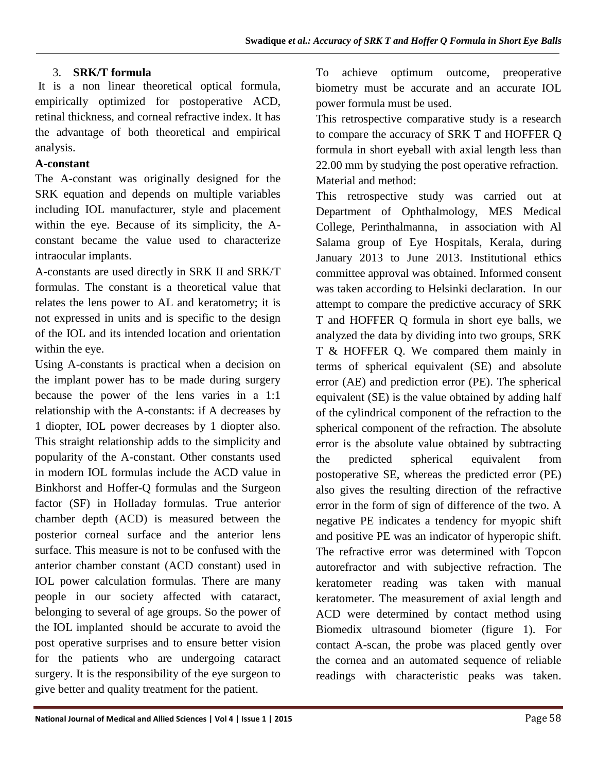#### 3. **SRK/T formula**

It is a non linear theoretical optical formula, empirically optimized for postoperative ACD, retinal thickness, and corneal refractive index. It has the advantage of both theoretical and empirical analysis.

#### **A-constant**

The A-constant was originally designed for the SRK equation and depends on multiple variables including IOL manufacturer, style and placement within the eye. Because of its simplicity, the Aconstant became the value used to characterize intraocular implants.

A-constants are used directly in SRK II and SRK/T formulas. The constant is a theoretical value that relates the lens power to AL and keratometry; it is not expressed in units and is specific to the design of the IOL and its intended location and orientation within the eye.

Using A-constants is practical when a decision on the implant power has to be made during surgery because the power of the lens varies in a 1:1 relationship with the A-constants: if A decreases by 1 diopter, IOL power decreases by 1 diopter also. This straight relationship adds to the simplicity and popularity of the A-constant. Other constants used in modern IOL formulas include the ACD value in Binkhorst and Hoffer-Q formulas and the Surgeon factor (SF) in Holladay formulas. True anterior chamber depth (ACD) is measured between the posterior corneal surface and the anterior lens surface. This measure is not to be confused with the anterior chamber constant (ACD constant) used in IOL power calculation formulas. There are many people in our society affected with cataract, belonging to several of age groups. So the power of the IOL implanted should be accurate to avoid the post operative surprises and to ensure better vision for the patients who are undergoing cataract surgery. It is the responsibility of the eye surgeon to give better and quality treatment for the patient.

To achieve optimum outcome, preoperative biometry must be accurate and an accurate IOL power formula must be used.

This retrospective comparative study is a research to compare the accuracy of SRK T and HOFFER Q formula in short eyeball with axial length less than 22.00 mm by studying the post operative refraction. Material and method:

This retrospective study was carried out at Department of Ophthalmology, MES Medical College, Perinthalmanna, in association with Al Salama group of Eye Hospitals, Kerala, during January 2013 to June 2013. Institutional ethics committee approval was obtained. Informed consent was taken according to Helsinki declaration. In our attempt to compare the predictive accuracy of SRK T and HOFFER Q formula in short eye balls, we analyzed the data by dividing into two groups, SRK T & HOFFER Q. We compared them mainly in terms of spherical equivalent (SE) and absolute error (AE) and prediction error (PE). The spherical equivalent (SE) is the value obtained by adding half of the cylindrical component of the refraction to the spherical component of the refraction. The absolute error is the absolute value obtained by subtracting the predicted spherical equivalent from postoperative SE, whereas the predicted error (PE) also gives the resulting direction of the refractive error in the form of sign of difference of the two. A negative PE indicates a tendency for myopic shift and positive PE was an indicator of hyperopic shift. The refractive error was determined with Topcon autorefractor and with subjective refraction. The keratometer reading was taken with manual keratometer. The measurement of axial length and ACD were determined by contact method using Biomedix ultrasound biometer (figure 1). For contact A-scan, the probe was placed gently over the cornea and an automated sequence of reliable readings with characteristic peaks was taken.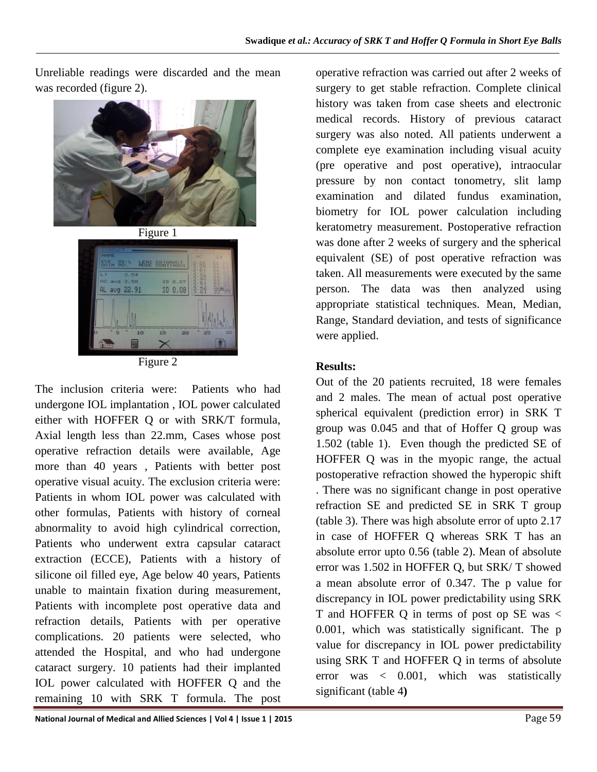Unreliable readings were discarded and the mean was recorded (figure 2).



98-L HENE CONTRACT SD 0.07 avg 22.91 SD 0.08  $15$  $\overline{2n}$  $\times$ 

Figure 2

The inclusion criteria were: Patients who had undergone IOL implantation , IOL power calculated either with HOFFER Q or with SRK/T formula, Axial length less than 22.mm, Cases whose post operative refraction details were available, Age more than 40 years , Patients with better post operative visual acuity. The exclusion criteria were: Patients in whom IOL power was calculated with other formulas, Patients with history of corneal abnormality to avoid high cylindrical correction, Patients who underwent extra capsular cataract extraction (ECCE), Patients with a history of silicone oil filled eye, Age below 40 years, Patients unable to maintain fixation during measurement, Patients with incomplete post operative data and refraction details, Patients with per operative complications. 20 patients were selected, who attended the Hospital, and who had undergone cataract surgery. 10 patients had their implanted IOL power calculated with HOFFER Q and the remaining 10 with SRK T formula. The post

operative refraction was carried out after 2 weeks of surgery to get stable refraction. Complete clinical history was taken from case sheets and electronic medical records. History of previous cataract surgery was also noted. All patients underwent a complete eye examination including visual acuity (pre operative and post operative), intraocular pressure by non contact tonometry, slit lamp examination and dilated fundus examination, biometry for IOL power calculation including keratometry measurement. Postoperative refraction was done after 2 weeks of surgery and the spherical equivalent (SE) of post operative refraction was taken. All measurements were executed by the same person. The data was then analyzed using appropriate statistical techniques. Mean, Median, Range, Standard deviation, and tests of significance were applied.

#### **Results:**

Out of the 20 patients recruited, 18 were females and 2 males. The mean of actual post operative spherical equivalent (prediction error) in SRK T group was 0.045 and that of Hoffer Q group was 1.502 (table 1). Even though the predicted SE of HOFFER Q was in the myopic range, the actual postoperative refraction showed the hyperopic shift . There was no significant change in post operative refraction SE and predicted SE in SRK T group (table 3). There was high absolute error of upto 2.17 in case of HOFFER Q whereas SRK T has an absolute error upto 0.56 (table 2). Mean of absolute error was 1.502 in HOFFER Q, but SRK/ T showed a mean absolute error of 0.347. The p value for discrepancy in IOL power predictability using SRK T and HOFFER Q in terms of post op SE was < 0.001, which was statistically significant. The p value for discrepancy in IOL power predictability using SRK T and HOFFER Q in terms of absolute error was < 0.001, which was statistically significant (table 4**)**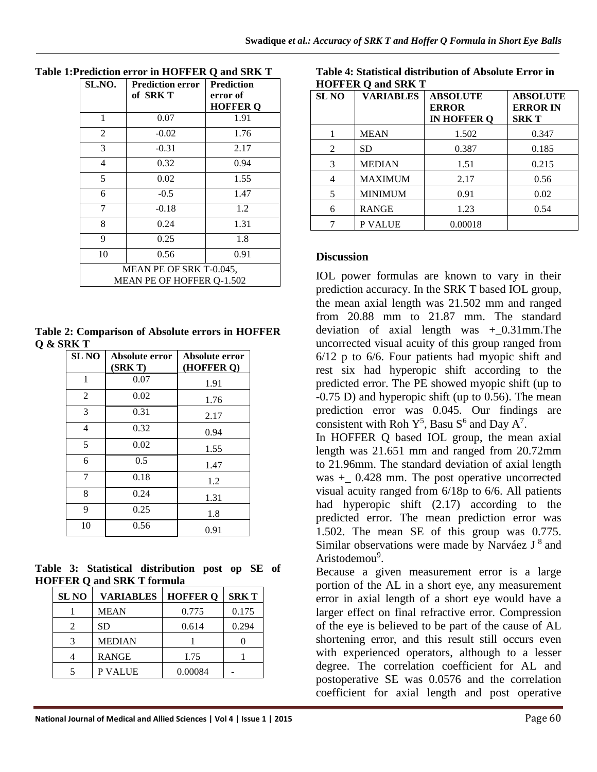7 P VALUE 1 0.00018

| SL.NO.                    | <b>Prediction error</b> | <b>Prediction</b> |  |  |
|---------------------------|-------------------------|-------------------|--|--|
|                           | of SRK T                | error of          |  |  |
|                           |                         | <b>HOFFER Q</b>   |  |  |
| 1                         | 0.07                    | 1.91              |  |  |
| $\overline{2}$            | $-0.02$                 | 1.76              |  |  |
| 3                         | $-0.31$                 | 2.17              |  |  |
| 4                         | 0.32                    | 0.94              |  |  |
| 5                         | 0.02                    | 1.55              |  |  |
| 6                         | $-0.5$                  | 1.47              |  |  |
| 7                         | $-0.18$                 | 1.2               |  |  |
| 8                         | 0.24                    | 1.31              |  |  |
| 9                         | 0.25                    | 1.8               |  |  |
| 10                        | 0.56                    | 0.91              |  |  |
| MEAN PE OF SRK T-0.045,   |                         |                   |  |  |
| MEAN PE OF HOFFER Q-1.502 |                         |                   |  |  |

**Table 1:Prediction error in HOFFER Q and SRK T**

**Table 2: Comparison of Absolute errors in HOFFER Q & SRK T**

| <b>SLNO</b>    | Absolute error<br>(SRKT) | Absolute error<br>(HOFFER Q) |
|----------------|--------------------------|------------------------------|
| 1              | 0.07                     | 1.91                         |
| $\overline{2}$ | 0.02                     | 1.76                         |
| 3              | 0.31                     | 2.17                         |
| 4              | 0.32                     | 0.94                         |
| 5              | 0.02                     | 1.55                         |
| 6              | 0.5                      | 1.47                         |
| 7              | 0.18                     | 1.2                          |
| 8              | 0.24                     | 1.31                         |
| 9              | 0.25                     | 1.8                          |
| 10             | 0.56                     | 0.91                         |

**Table 3: Statistical distribution post op SE of HOFFER Q and SRK T formula**

| <b>SL NO</b> | <b>VARIABLES</b> | <b>HOFFER Q</b> | <b>SRKT</b> |
|--------------|------------------|-----------------|-------------|
|              | <b>MEAN</b>      | 0.775           | 0.175       |
| 2            | SD               | 0.614           | 0.294       |
| 3            | <b>MEDIAN</b>    |                 |             |
|              | <b>RANGE</b>     | I.75            |             |
|              | P VALUE          | 0.00084         |             |

| <b>HOFFER Q and SRK T</b> |                  |                                                       |                                                   |  |  |  |
|---------------------------|------------------|-------------------------------------------------------|---------------------------------------------------|--|--|--|
| <b>SL NO</b>              | <b>VARIABLES</b> | <b>ABSOLUTE</b><br><b>ERROR</b><br><b>IN HOFFER Q</b> | <b>ABSOLUTE</b><br><b>ERROR IN</b><br><b>SRKT</b> |  |  |  |
|                           | <b>MEAN</b>      | 1.502                                                 | 0.347                                             |  |  |  |
| 2                         | SD.              | 0.387                                                 | 0.185                                             |  |  |  |
| 3                         | <b>MEDIAN</b>    | 1.51                                                  | 0.215                                             |  |  |  |
| $\overline{4}$            | <b>MAXIMUM</b>   | 2.17                                                  | 0.56                                              |  |  |  |
| 5                         | <b>MINIMUM</b>   | 0.91                                                  | 0.02                                              |  |  |  |
|                           | <b>RANGE</b>     | 1.23                                                  | 0.54                                              |  |  |  |

# **Table 4: Statistical distribution of Absolute Error in**

#### **Discussion**

IOL power formulas are known to vary in their prediction accuracy. In the SRK T based IOL group, the mean axial length was 21.502 mm and ranged from 20.88 mm to 21.87 mm. The standard deviation of axial length was  $+$ \_0.31mm.The uncorrected visual acuity of this group ranged from 6/12 p to 6/6. Four patients had myopic shift and rest six had hyperopic shift according to the predicted error. The PE showed myopic shift (up to -0.75 D) and hyperopic shift (up to 0.56). The mean prediction error was 0.045. Our findings are consistent with Roh  $Y^5$ , Basu  $S^6$  and Day  $A^7$ .

In HOFFER Q based IOL group, the mean axial length was 21.651 mm and ranged from 20.72mm to 21.96mm. The standard deviation of axial length was +\_ 0.428 mm. The post operative uncorrected visual acuity ranged from 6/18p to 6/6. All patients had hyperopic shift (2.17) according to the predicted error. The mean prediction error was 1.502. The mean SE of this group was 0.775. Similar observations were made by Narváez  $J^8$  and Aristodemou<sup>9</sup>.

Because a given measurement error is a large portion of the AL in a short eye, any measurement error in axial length of a short eye would have a larger effect on final refractive error. Compression of the eye is believed to be part of the cause of AL shortening error, and this result still occurs even with experienced operators, although to a lesser degree. The correlation coefficient for AL and postoperative SE was 0.0576 and the correlation coefficient for axial length and post operative